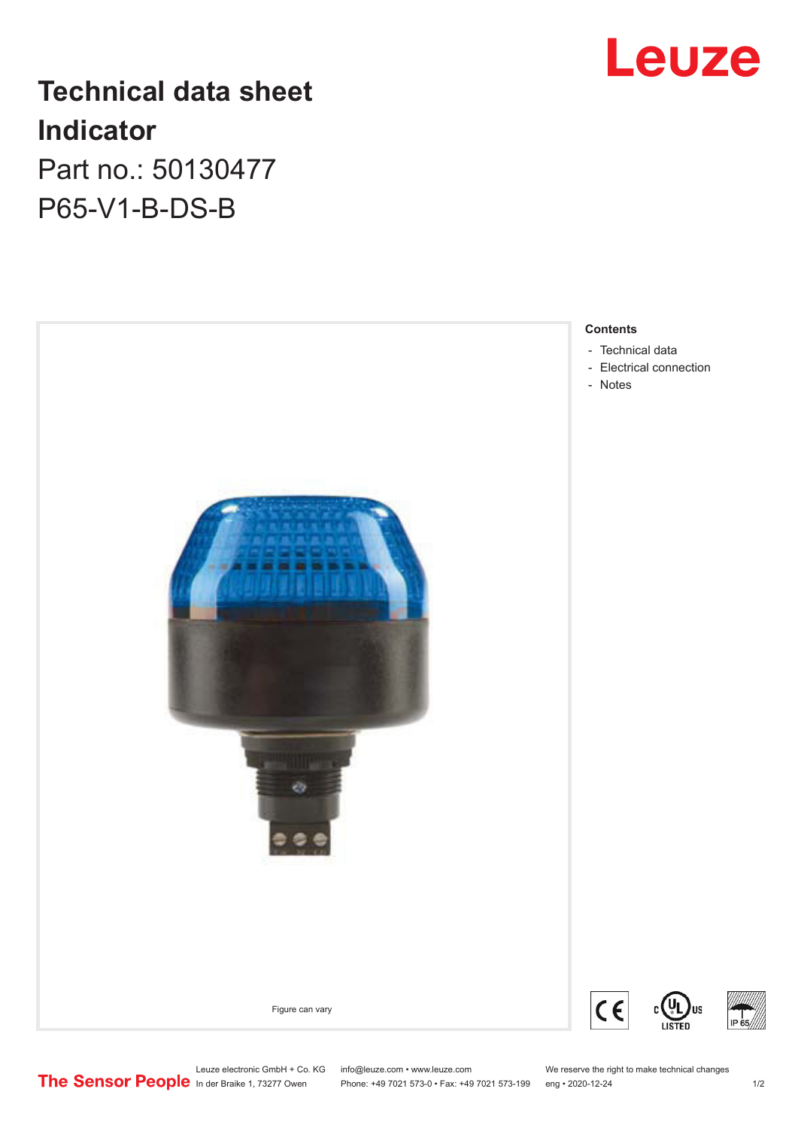

# **Technical data sheet Indicator**

Part no.: 50130477 P65-V1-B-DS-B



In der Braike 1, 73277 Owen Phone: +49 7021 573-0 • Fax: +49 7021 573-199 eng • 2020-12-24 1 /2